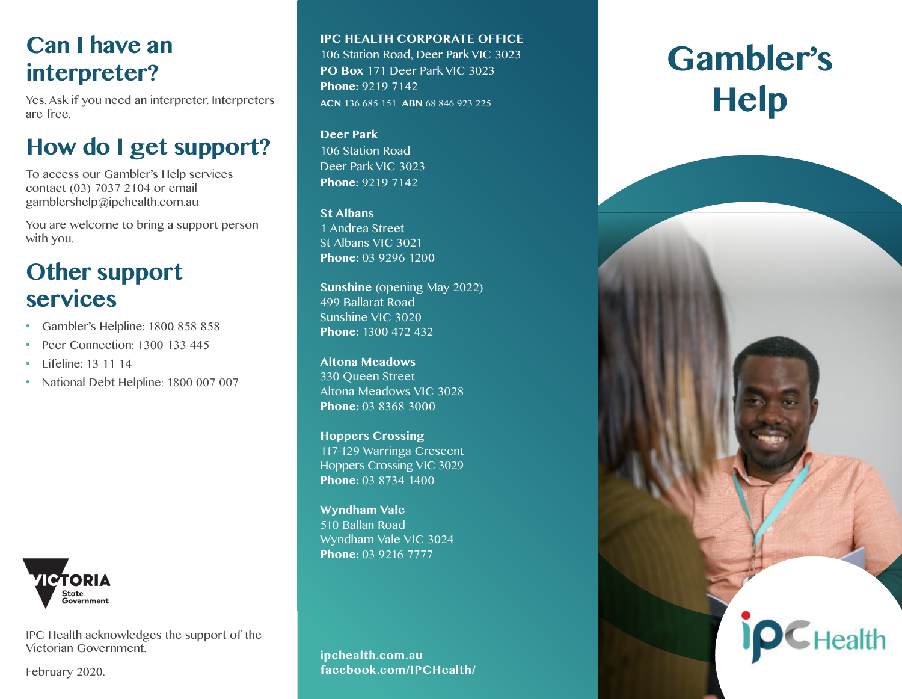## **Can I have an interpreter?**

Yes. Ask if you need an interpreter. Interpreters are free.

# **How do I get support?**

To access our Gambler's Help services contact (03) 7037 2104 or email gamblershelp@ipchealth.com.au

You are welcome to bring a support person with you.

# **Other support services**

- Gambler's Helpline: 1800 858 858
- Peer Connection: 1300 133 445
- Lifeline: 13 11 14
- National Debt Helpline: 1800 007 007



IPC Health acknowledges the support of the Victorian Government.

February 2020.

#### **IPC HEALTH CORPORATE OFFICE**

106 Station Road, Deer Park VIC 3023 **PO Box** 171 Deer Park VIC 3023 **Phone:** 9219 7142 **ACN** 136 685 151 **ABN** 68 846 923 225

#### **Deer Park**

106 Station Road Deer Park VIC 3023 **Phone:** 9219 7142

#### **St Albans**

1 Andrea Street St Albans VIC 3021 **Phone:** 03 9296 1200

**Sunshine** (opening May 2022) 499 Ballarat Road Sunshine VIC 3020 **Phone:** 1300 472 432

#### **Altona Meadows** 330 Queen Street Altona Meadows VIC 3028 **Phone:** 03 8368 3000

**Hoppers Crossing** 117-129 Warringa Crescent Hoppers Crossing VIC 3029 **Phone:** 03 8734 1400

**Wyndham Vale** 510 Ballan Road Wyndham Vale VIC 3024 **Phone:** 03 9216 7777

**ipchealth.com.au facebook.com/IPCHealth/**

# **Gambler's Help**